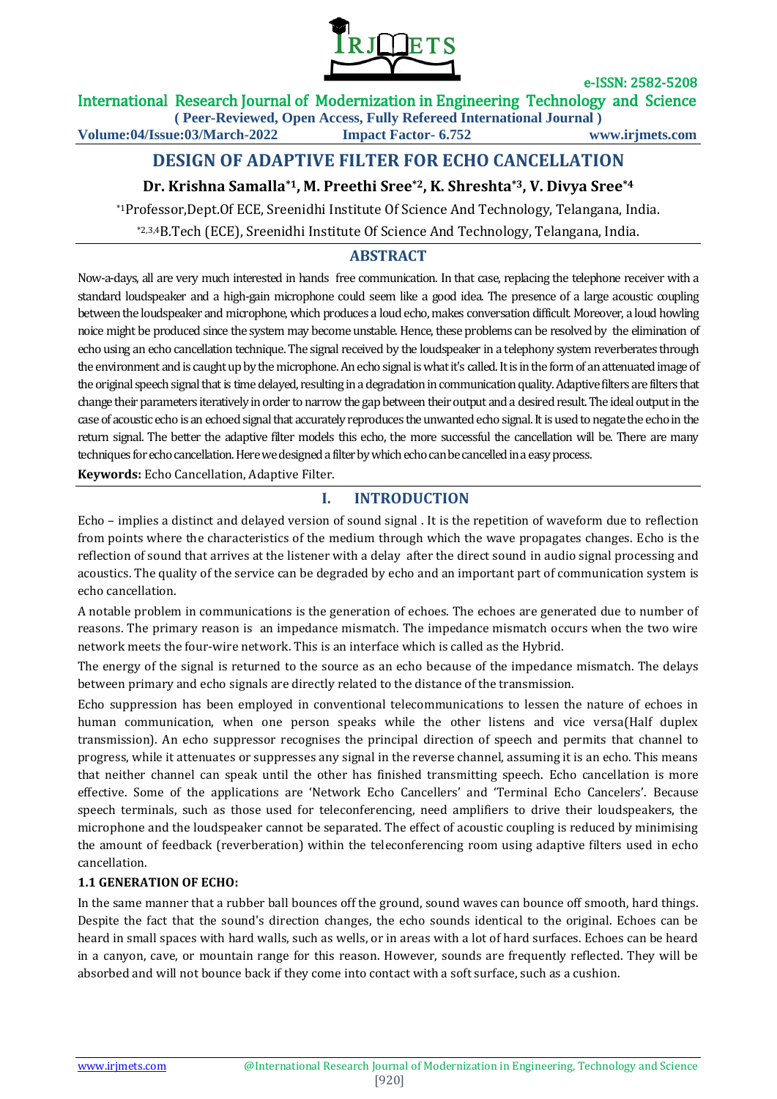

International Research Journal of Modernization in Engineering Technology and Science

**( Peer-Reviewed, Open Access, Fully Refereed International Journal ) Volume:04/Issue:03/March-2022 Impact Factor- 6.752 www.irjmets.com**

# **DESIGN OF ADAPTIVE FILTER FOR ECHO CANCELLATION**

# **Dr. Krishna Samalla\*1, M. Preethi Sree\*2, K. Shreshta\*3, V. Divya Sree\*4**

\*1Professor,Dept.Of ECE, Sreenidhi Institute Of Science And Technology, Telangana, India.

\*2,3,4B.Tech (ECE), Sreenidhi Institute Of Science And Technology, Telangana, India.

# **ABSTRACT**

Now-a-days, all are very much interested in hands free communication. In that case, replacing the telephone receiver with a standard loudspeaker and a high-gain microphone could seem like a good idea. The presence of a large acoustic coupling between the loudspeaker and microphone, which produces a loud echo, makes conversation difficult. Moreover, a loud howling noice might be produced since the system may become unstable. Hence, these problems can be resolved by the elimination of echo using an echo cancellation technique. The signal received by the loudspeaker in a telephony system reverberates through the environment and is caught up by the microphone. An echo signal is what it's called. It is in the form of an attenuated image of the original speech signal that is time delayed, resulting in a degradation in communication quality. Adaptive filters are filters that change their parameters iteratively in order to narrow the gap between their output and a desired result. The ideal output in the case of acoustic echo is an echoed signal that accurately reproduces the unwantedecho signal. It is used to negate the echo in the return signal. The better the adaptive filter models this echo, the more successful the cancellation will be. There are many techniques for echo cancellation. Here we designed a filter by which echo can be cancelled in a easy process.

**Keywords:** Echo Cancellation, Adaptive Filter.

# **I. INTRODUCTION**

Echo – implies a distinct and delayed version of sound signal . It is the repetition of waveform due to reflection from points where the characteristics of the medium through which the wave propagates changes. Echo is the reflection of sound that arrives at the listener with a delay after the direct sound in audio signal processing and acoustics. The quality of the service can be degraded by echo and an important part of communication system is echo cancellation.

A notable problem in communications is the generation of echoes. The echoes are generated due to number of reasons. The primary reason is an impedance mismatch. The impedance mismatch occurs when the two wire network meets the four-wire network. This is an interface which is called as the Hybrid.

The energy of the signal is returned to the source as an echo because of the impedance mismatch. The delays between primary and echo signals are directly related to the distance of the transmission.

Echo suppression has been employed in conventional telecommunications to lessen the nature of echoes in human communication, when one person speaks while the other listens and vice versa(Half duplex transmission). An echo suppressor recognises the principal direction of speech and permits that channel to progress, while it attenuates or suppresses any signal in the reverse channel, assuming it is an echo. This means that neither channel can speak until the other has finished transmitting speech. Echo cancellation is more effective. Some of the applications are 'Network Echo Cancellers' and 'Terminal Echo Cancelers'. Because speech terminals, such as those used for teleconferencing, need amplifiers to drive their loudspeakers, the microphone and the loudspeaker cannot be separated. The effect of acoustic coupling is reduced by minimising the amount of feedback (reverberation) within the teleconferencing room using adaptive filters used in echo cancellation.

### **1.1 GENERATION OF ECHO:**

In the same manner that a rubber ball bounces off the ground, sound waves can bounce off smooth, hard things. Despite the fact that the sound's direction changes, the echo sounds identical to the original. Echoes can be heard in small spaces with hard walls, such as wells, or in areas with a lot of hard surfaces. Echoes can be heard in a canyon, cave, or mountain range for this reason. However, sounds are frequently reflected. They will be absorbed and will not bounce back if they come into contact with a soft surface, such as a cushion.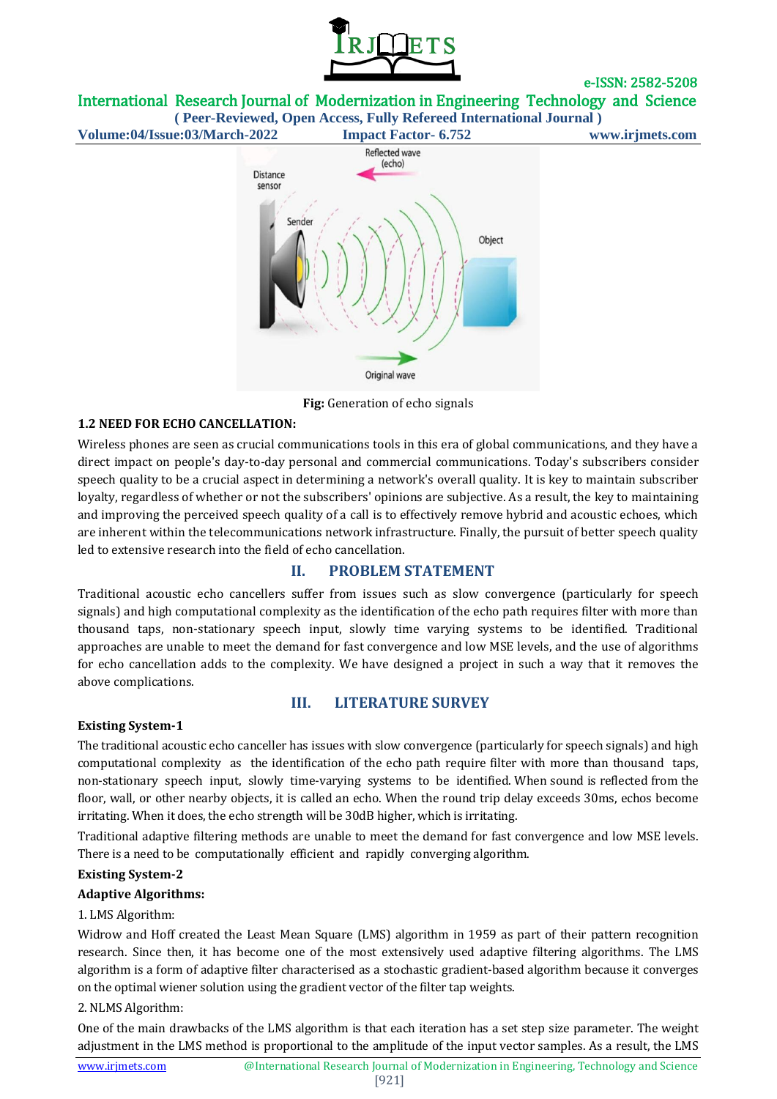

International Research Journal of Modernization in Engineering Technology and Science **( Peer-Reviewed, Open Access, Fully Refereed International Journal )**

**Volume:04/Issue:03/March-2022 Impact Factor- 6.752 www.irjmets.com**



**Fig:** Generation of echo signals

### **1.2 NEED FOR ECHO CANCELLATION:**

Wireless phones are seen as crucial communications tools in this era of global communications, and they have a direct impact on people's day-to-day personal and commercial communications. Today's subscribers consider speech quality to be a crucial aspect in determining a network's overall quality. It is key to maintain subscriber loyalty, regardless of whether or not the subscribers' opinions are subjective. As a result, the key to maintaining and improving the perceived speech quality of a call is to effectively remove hybrid and acoustic echoes, which are inherent within the telecommunications network infrastructure. Finally, the pursuit of better speech quality led to extensive research into the field of echo cancellation.

## **II. PROBLEM STATEMENT**

Traditional acoustic echo cancellers suffer from issues such as slow convergence (particularly for speech signals) and high computational complexity as the identification of the echo path requires filter with more than thousand taps, non-stationary speech input, slowly time varying systems to be identified. Traditional approaches are unable to meet the demand for fast convergence and low MSE levels, and the use of algorithms for echo cancellation adds to the complexity. We have designed a project in such a way that it removes the above complications.

### **III. LITERATURE SURVEY**

### **Existing System-1**

The traditional acoustic echo canceller has issues with slow convergence (particularly for speech signals) and high computational complexity as the identification of the echo path require filter with more than thousand taps, non-stationary speech input, slowly time-varying systems to be identified. When sound is reflected from the floor, wall, or other nearby objects, it is called an echo. When the round trip delay exceeds 30ms, echos become irritating. When it does, the echo strength will be 30dB higher, which is irritating.

Traditional adaptive filtering methods are unable to meet the demand for fast convergence and low MSE levels. There is a need to be computationally efficient and rapidly converging algorithm.

### **Existing System-2**

### **Adaptive Algorithms:**

### 1. LMS Algorithm:

Widrow and Hoff created the Least Mean Square (LMS) algorithm in 1959 as part of their pattern recognition research. Since then, it has become one of the most extensively used adaptive filtering algorithms. The LMS algorithm is a form of adaptive filter characterised as a stochastic gradient-based algorithm because it converges on the optimal wiener solution using the gradient vector of the filter tap weights.

### 2. NLMS Algorithm:

One of the main drawbacks of the LMS algorithm is that each iteration has a set step size parameter. The weight adjustment in the LMS method is proportional to the amplitude of the input vector samples. As a result, the LMS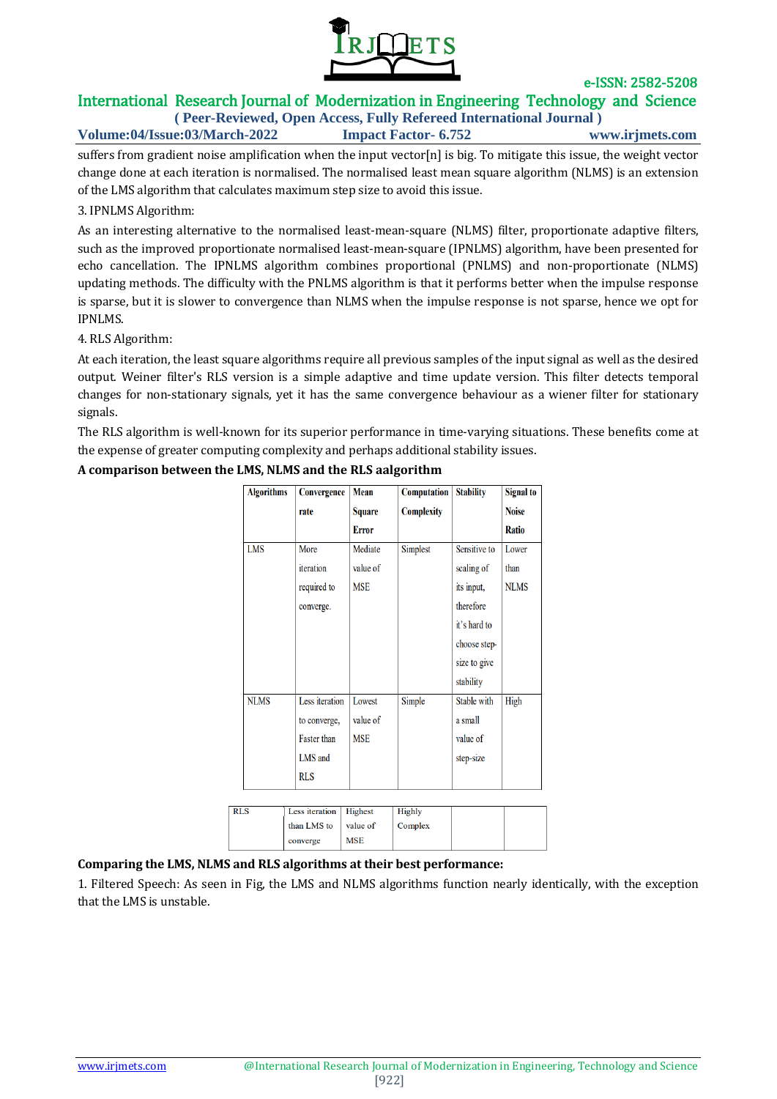

# International Research Journal of Modernization in Engineering Technology and Science

**( Peer-Reviewed, Open Access, Fully Refereed International Journal ) Volume:04/Issue:03/March-2022 Impact Factor- 6.752 www.irjmets.com**

suffers from gradient noise amplification when the input vector[n] is big. To mitigate this issue, the weight vector change done at each iteration is normalised. The normalised least mean square algorithm (NLMS) is an extension of the LMS algorithm that calculates maximum step size to avoid this issue.

### 3. IPNLMS Algorithm:

As an interesting alternative to the normalised least-mean-square (NLMS) filter, proportionate adaptive filters, such as the improved proportionate normalised least-mean-square (IPNLMS) algorithm, have been presented for echo cancellation. The IPNLMS algorithm combines proportional (PNLMS) and non-proportionate (NLMS) updating methods. The difficulty with the PNLMS algorithm is that it performs better when the impulse response is sparse, but it is slower to convergence than NLMS when the impulse response is not sparse, hence we opt for IPNLMS.

### 4. RLS Algorithm:

At each iteration, the least square algorithms require all previous samples of the input signal as well as the desired output. Weiner filter's RLS version is a simple adaptive and time update version. This filter detects temporal changes for non-stationary signals, yet it has the same convergence behaviour as a wiener filter for stationary signals.

The RLS algorithm is well-known for its superior performance in time-varying situations. These benefits come at the expense of greater computing complexity and perhaps additional stability issues.

| <b>Algorithms</b> | Convergence    | <b>Mean</b>  | <b>Computation</b> | <b>Stability</b> | Signal to    |
|-------------------|----------------|--------------|--------------------|------------------|--------------|
|                   | rate           | Square       | <b>Complexity</b>  |                  | <b>Noise</b> |
|                   |                | <b>Error</b> |                    |                  | <b>Ratio</b> |
| LMS               | More           | Mediate      | Simplest           | Sensitive to     | Lower        |
|                   | iteration      | value of     |                    | scaling of       | than         |
|                   | required to    | <b>MSE</b>   |                    | its input,       | <b>NLMS</b>  |
|                   | converge.      |              |                    | therefore        |              |
|                   |                |              |                    | it's hard to     |              |
|                   |                |              |                    | choose step-     |              |
|                   |                |              |                    | size to give     |              |
|                   |                |              |                    | stability        |              |
| <b>NLMS</b>       | Less iteration | Lowest       | Simple             | Stable with      | High         |
|                   | to converge,   | value of     |                    | a small          |              |
|                   | Faster than    | <b>MSE</b>   |                    | value of         |              |
|                   | LMS and        |              |                    | step-size        |              |
|                   | <b>RLS</b>     |              |                    |                  |              |
|                   |                |              |                    |                  |              |

### **A comparison between the LMS, NLMS and the RLS aalgorithm**

| <b>RLS</b> | Less iteration   Highest |            | Highly  |  |
|------------|--------------------------|------------|---------|--|
|            | than LMS to              | value of   | Complex |  |
|            | converge                 | <b>MSE</b> |         |  |

### **Comparing the LMS, NLMS and RLS algorithms at their best performance:**

1. Filtered Speech: As seen in Fig, the LMS and NLMS algorithms function nearly identically, with the exception that the LMS is unstable.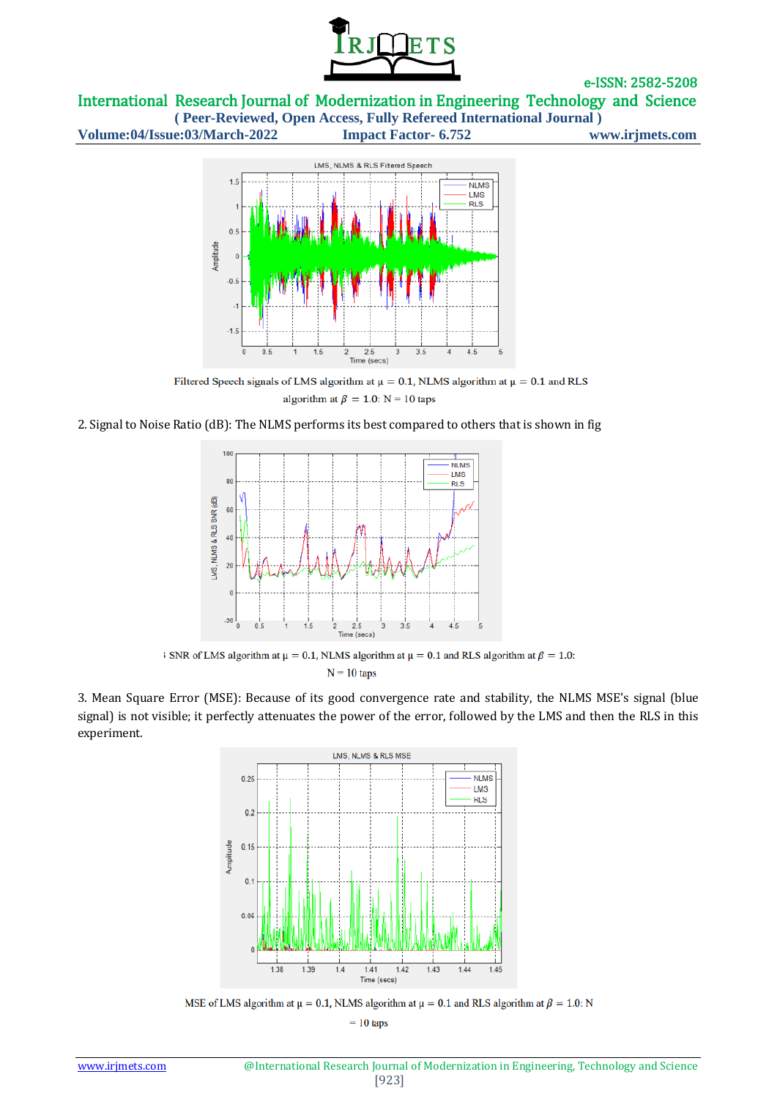

International Research Journal of Modernization in Engineering Technology and Science

**( Peer-Reviewed, Open Access, Fully Refereed International Journal ) Volume:04/Issue:03/March-2022 Impact Factor- 6.752 www.irjmets.com**



Filtered Speech signals of LMS algorithm at  $\mu = 0.1$ , NLMS algorithm at  $\mu = 0.1$  and RLS algorithm at  $\beta = 1.0$ : N = 10 taps

2. Signal to Noise Ratio (dB): The NLMS performs its best compared to others that is shown in fig



SNR of LMS algorithm at  $\mu = 0.1$ , NLMS algorithm at  $\mu = 0.1$  and RLS algorithm at  $\beta = 1.0$ :  $N = 10$  taps

3. Mean Square Error (MSE): Because of its good convergence rate and stability, the NLMS MSE's signal (blue signal) is not visible; it perfectly attenuates the power of the error, followed by the LMS and then the RLS in this experiment.



MSE of LMS algorithm at  $\mu = 0.1$ , NLMS algorithm at  $\mu = 0.1$  and RLS algorithm at  $\beta = 1.0$ : N

 $= 10$  taps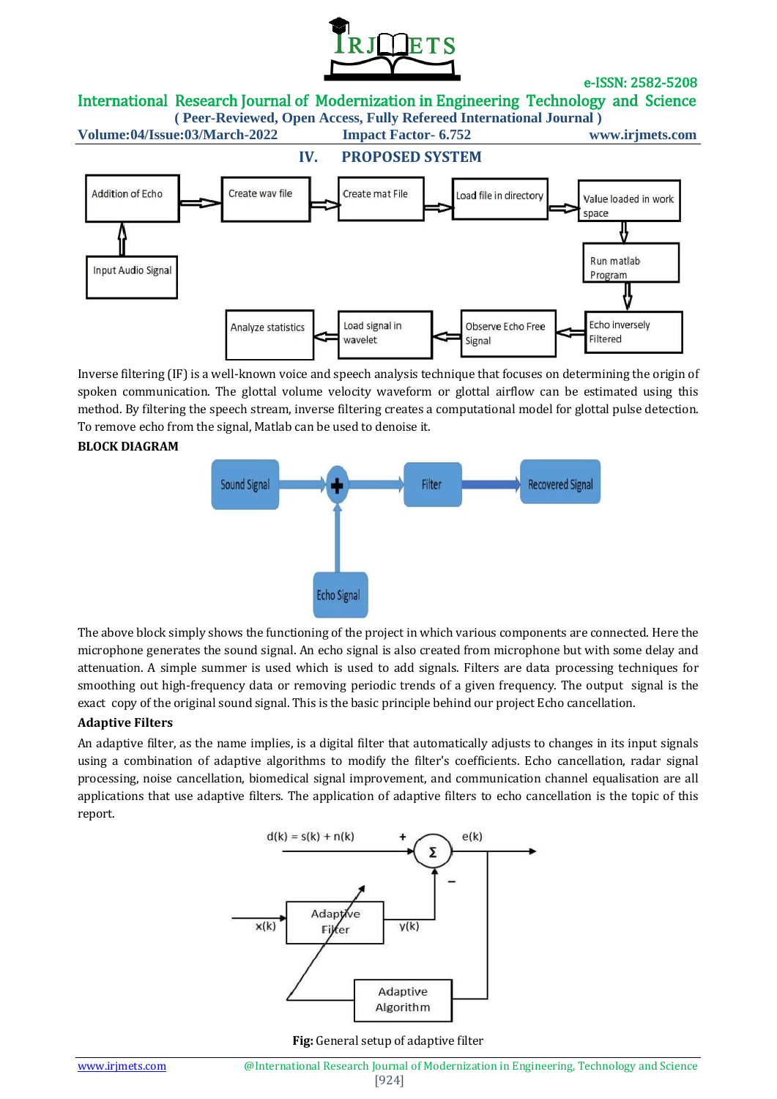

International Research Journal of Modernization in Engineering Technology and Science

**( Peer-Reviewed, Open Access, Fully Refereed International Journal )**

**Volume:04/Issue:03/March-2022 Impact Factor- 6.752 www.irjmets.com**



Inverse filtering (IF) is a well-known voice and speech analysis technique that focuses on determining the origin of spoken communication. The glottal volume velocity waveform or glottal airflow can be estimated using this method. By filtering the speech stream, inverse filtering creates a computational model for glottal pulse detection. To remove echo from the signal, Matlab can be used to denoise it.

#### **BLOCK DIAGRAM**



The above block simply shows the functioning of the project in which various components are connected. Here the microphone generates the sound signal. An echo signal is also created from microphone but with some delay and attenuation. A simple summer is used which is used to add signals. Filters are data processing techniques for smoothing out high-frequency data or removing periodic trends of a given frequency. The output signal is the exact copy of the original sound signal. This is the basic principle behind our project Echo cancellation.

#### **Adaptive Filters**

An adaptive filter, as the name implies, is a digital filter that automatically adjusts to changes in its input signals using a combination of adaptive algorithms to modify the filter's coefficients. Echo cancellation, radar signal processing, noise cancellation, biomedical signal improvement, and communication channel equalisation are all applications that use adaptive filters. The application of adaptive filters to echo cancellation is the topic of this report.



**Fig:** General setup of adaptive filter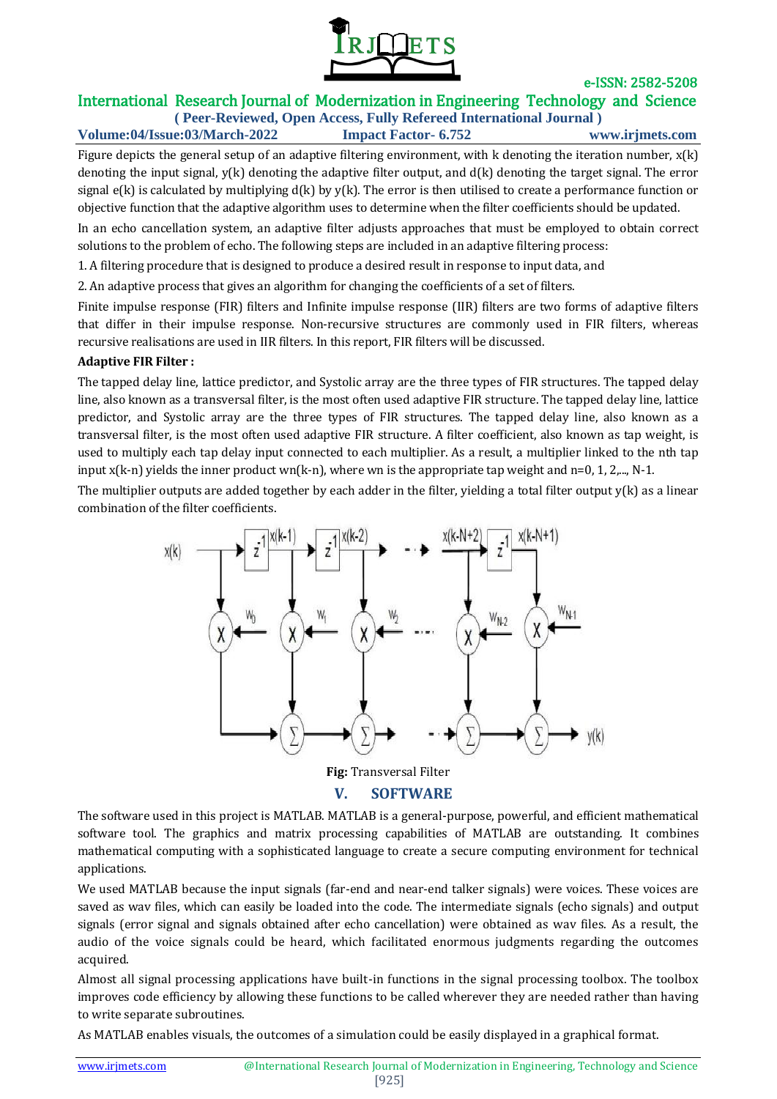

# International Research Journal of Modernization in Engineering Technology and Science

**( Peer-Reviewed, Open Access, Fully Refereed International Journal ) Volume:04/Issue:03/March-2022 Impact Factor- 6.752 www.irjmets.com**

Figure depicts the general setup of an adaptive filtering environment, with  $k$  denoting the iteration number,  $x(k)$ denoting the input signal, y(k) denoting the adaptive filter output, and d(k) denoting the target signal. The error signal  $e(k)$  is calculated by multiplying  $d(k)$  by  $y(k)$ . The error is then utilised to create a performance function or objective function that the adaptive algorithm uses to determine when the filter coefficients should be updated.

In an echo cancellation system, an adaptive filter adjusts approaches that must be employed to obtain correct solutions to the problem of echo. The following steps are included in an adaptive filtering process:

1. A filtering procedure that is designed to produce a desired result in response to input data, and

2. An adaptive process that gives an algorithm for changing the coefficients of a set of filters.

Finite impulse response (FIR) filters and Infinite impulse response (IIR) filters are two forms of adaptive filters that differ in their impulse response. Non-recursive structures are commonly used in FIR filters, whereas recursive realisations are used in IIR filters. In this report, FIR filters will be discussed.

### **Adaptive FIR Filter :**

The tapped delay line, lattice predictor, and Systolic array are the three types of FIR structures. The tapped delay line, also known as a transversal filter, is the most often used adaptive FIR structure. The tapped delay line, lattice predictor, and Systolic array are the three types of FIR structures. The tapped delay line, also known as a transversal filter, is the most often used adaptive FIR structure. A filter coefficient, also known as tap weight, is used to multiply each tap delay input connected to each multiplier. As a result, a multiplier linked to the nth tap input  $x(k-n)$  yields the inner product wn(k-n), where wn is the appropriate tap weight and n=0, 1, 2,..., N-1.

The multiplier outputs are added together by each adder in the filter, yielding a total filter output  $y(k)$  as a linear combination of the filter coefficients.



The software used in this project is MATLAB. MATLAB is a general-purpose, powerful, and efficient mathematical software tool. The graphics and matrix processing capabilities of MATLAB are outstanding. It combines mathematical computing with a sophisticated language to create a secure computing environment for technical applications.

We used MATLAB because the input signals (far-end and near-end talker signals) were voices. These voices are saved as wav files, which can easily be loaded into the code. The intermediate signals (echo signals) and output signals (error signal and signals obtained after echo cancellation) were obtained as wav files. As a result, the audio of the voice signals could be heard, which facilitated enormous judgments regarding the outcomes acquired.

Almost all signal processing applications have built-in functions in the signal processing toolbox. The toolbox improves code efficiency by allowing these functions to be called wherever they are needed rather than having to write separate subroutines.

As MATLAB enables visuals, the outcomes of a simulation could be easily displayed in a graphical format.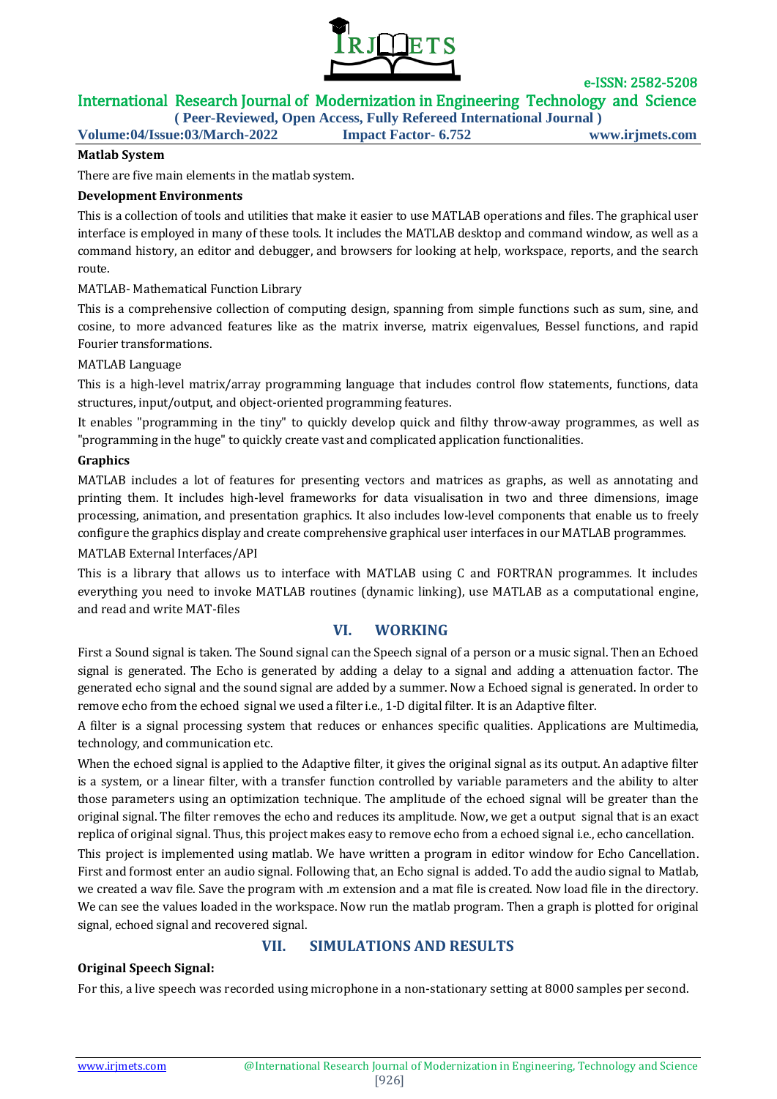

## International Research Journal of Modernization in Engineering Technology and Science

**( Peer-Reviewed, Open Access, Fully Refereed International Journal )**

**Volume:04/Issue:03/March-2022 Impact Factor- 6.752 www.irjmets.com**

### **Matlab System**

There are five main elements in the matlab system.

### **Development Environments**

This is a collection of tools and utilities that make it easier to use MATLAB operations and files. The graphical user interface is employed in many of these tools. It includes the MATLAB desktop and command window, as well as a command history, an editor and debugger, and browsers for looking at help, workspace, reports, and the search route.

### MATLAB- Mathematical Function Library

This is a comprehensive collection of computing design, spanning from simple functions such as sum, sine, and cosine, to more advanced features like as the matrix inverse, matrix eigenvalues, Bessel functions, and rapid Fourier transformations.

### MATLAB Language

This is a high-level matrix/array programming language that includes control flow statements, functions, data structures, input/output, and object-oriented programming features.

It enables "programming in the tiny" to quickly develop quick and filthy throw-away programmes, as well as "programming in the huge" to quickly create vast and complicated application functionalities.

### **Graphics**

MATLAB includes a lot of features for presenting vectors and matrices as graphs, as well as annotating and printing them. It includes high-level frameworks for data visualisation in two and three dimensions, image processing, animation, and presentation graphics. It also includes low-level components that enable us to freely configure the graphics display and create comprehensive graphical user interfaces in our MATLAB programmes.

### MATLAB External Interfaces/API

This is a library that allows us to interface with MATLAB using C and FORTRAN programmes. It includes everything you need to invoke MATLAB routines (dynamic linking), use MATLAB as a computational engine, and read and write MAT-files

## **VI. WORKING**

First a Sound signal is taken. The Sound signal can the Speech signal of a person or a music signal. Then an Echoed signal is generated. The Echo is generated by adding a delay to a signal and adding a attenuation factor. The generated echo signal and the sound signal are added by a summer. Now a Echoed signal is generated. In order to remove echo from the echoed signal we used a filter i.e., 1-D digital filter. It is an Adaptive filter.

A filter is a signal processing system that reduces or enhances specific qualities. Applications are Multimedia, technology, and communication etc.

When the echoed signal is applied to the Adaptive filter, it gives the original signal as its output. An adaptive filter is a system, or a linear filter, with a transfer function controlled by variable parameters and the ability to alter those parameters using an optimization technique. The amplitude of the echoed signal will be greater than the original signal. The filter removes the echo and reduces its amplitude. Now, we get a output signal that is an exact replica of original signal. Thus, this project makes easy to remove echo from a echoed signal i.e., echo cancellation.

This project is implemented using matlab. We have written a program in editor window for Echo Cancellation. First and formost enter an audio signal. Following that, an Echo signal is added. To add the audio signal to Matlab, we created a wav file. Save the program with .m extension and a mat file is created. Now load file in the directory. We can see the values loaded in the workspace. Now run the matlab program. Then a graph is plotted for original signal, echoed signal and recovered signal.

# **VII. SIMULATIONS AND RESULTS**

### **Original Speech Signal:**

For this, a live speech was recorded using microphone in a non-stationary setting at 8000 samples per second.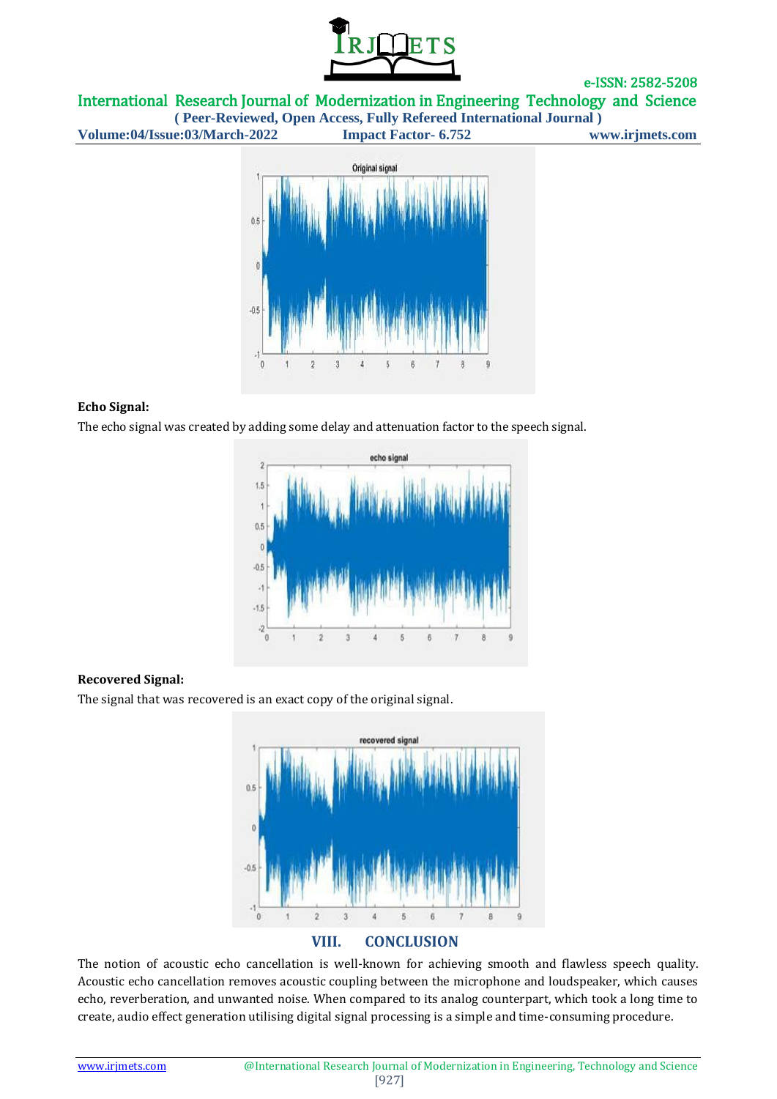

International Research Journal of Modernization in Engineering Technology and Science

**( Peer-Reviewed, Open Access, Fully Refereed International Journal ) Volume:04/Issue:03/March-2022 Impact Factor- 6.752 www.irjmets.com**



### **Echo Signal:**

The echo signal was created by adding some delay and attenuation factor to the speech signal.



### **Recovered Signal:**

The signal that was recovered is an exact copy of the original signal.



### **VIII. CONCLUSION**

The notion of acoustic echo cancellation is well-known for achieving smooth and flawless speech quality. Acoustic echo cancellation removes acoustic coupling between the microphone and loudspeaker, which causes echo, reverberation, and unwanted noise. When compared to its analog counterpart, which took a long time to create, audio effect generation utilising digital signal processing is a simple and time-consuming procedure.